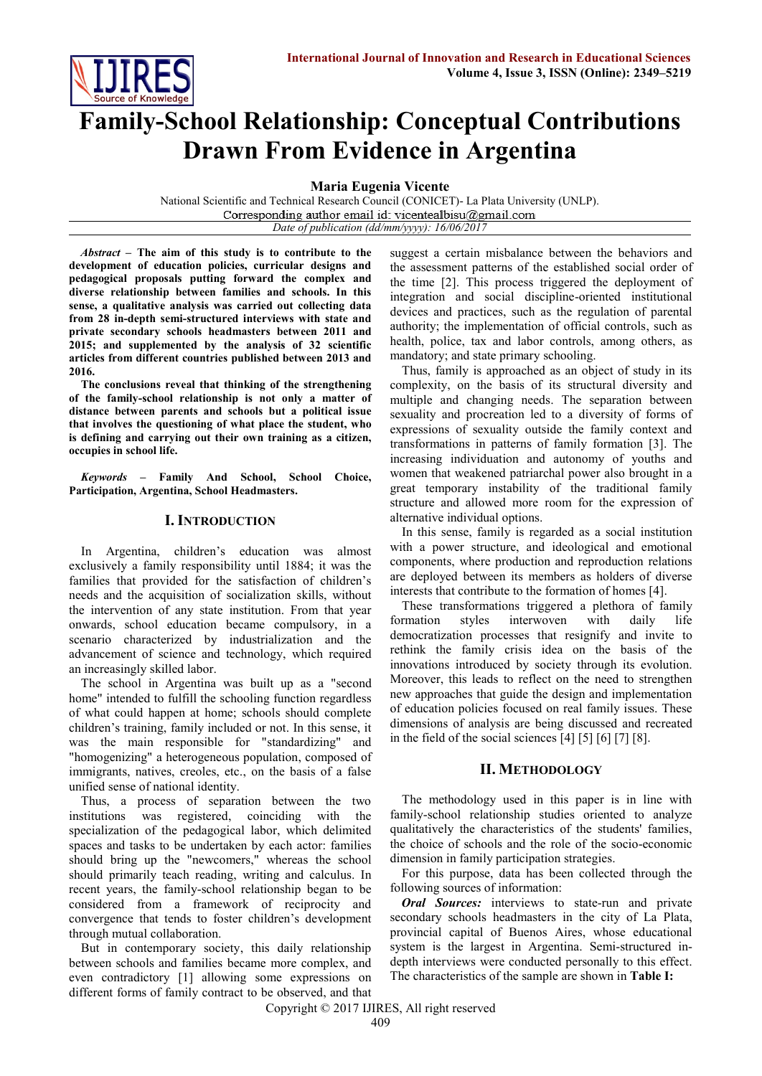

# **Family-School Relationship: Conceptual Contributions Drawn From Evidence in Argentina**

**Maria Eugenia Vicente**

National Scientific and Technical Research Council (CONICET)- La Plata University (UNLP). Corresponding author email id: vicentealbisu@gmail.com *Date of publication (dd/mm/yyyy): 16/06/2017*

*Abstract* **– The aim of this study is to contribute to the development of education policies, curricular designs and pedagogical proposals putting forward the complex and diverse relationship between families and schools. In this sense, a qualitative analysis was carried out collecting data from 28 in-depth semi-structured interviews with state and private secondary schools headmasters between 2011 and 2015; and supplemented by the analysis of 32 scientific articles from different countries published between 2013 and 2016.**

**The conclusions reveal that thinking of the strengthening of the family-school relationship is not only a matter of distance between parents and schools but a political issue that involves the questioning of what place the student, who is defining and carrying out their own training as a citizen, occupies in school life.**

*Keywords* **– Family And School, School Choice, Participation, Argentina, School Headmasters.** 

# **I. INTRODUCTION**

In Argentina, children's education was almost exclusively a family responsibility until 1884; it was the families that provided for the satisfaction of children's needs and the acquisition of socialization skills, without the intervention of any state institution. From that year onwards, school education became compulsory, in a scenario characterized by industrialization and the advancement of science and technology, which required an increasingly skilled labor.

The school in Argentina was built up as a "second home" intended to fulfill the schooling function regardless of what could happen at home; schools should complete children's training, family included or not. In this sense, it was the main responsible for "standardizing" and "homogenizing" a heterogeneous population, composed of immigrants, natives, creoles, etc., on the basis of a false unified sense of national identity.

Thus, a process of separation between the two institutions was registered, coinciding with the specialization of the pedagogical labor, which delimited spaces and tasks to be undertaken by each actor: families should bring up the "newcomers," whereas the school should primarily teach reading, writing and calculus. In recent years, the family-school relationship began to be considered from a framework of reciprocity and convergence that tends to foster children's development through mutual collaboration.

But in contemporary society, this daily relationship between schools and families became more complex, and even contradictory [1] allowing some expressions on different forms of family contract to be observed, and that suggest a certain misbalance between the behaviors and the assessment patterns of the established social order of the time [2]. This process triggered the deployment of integration and social discipline-oriented institutional devices and practices, such as the regulation of parental authority; the implementation of official controls, such as health, police, tax and labor controls, among others, as mandatory; and state primary schooling.

Thus, family is approached as an object of study in its complexity, on the basis of its structural diversity and multiple and changing needs. The separation between sexuality and procreation led to a diversity of forms of expressions of sexuality outside the family context and transformations in patterns of family formation [3]. The increasing individuation and autonomy of youths and women that weakened patriarchal power also brought in a great temporary instability of the traditional family structure and allowed more room for the expression of alternative individual options.

In this sense, family is regarded as a social institution with a power structure, and ideological and emotional components, where production and reproduction relations are deployed between its members as holders of diverse interests that contribute to the formation of homes [4].

These transformations triggered a plethora of family formation styles interwoven with daily life democratization processes that resignify and invite to rethink the family crisis idea on the basis of the innovations introduced by society through its evolution. Moreover, this leads to reflect on the need to strengthen new approaches that guide the design and implementation of education policies focused on real family issues. These dimensions of analysis are being discussed and recreated in the field of the social sciences [4] [5] [6] [7] [8].

# **II. METHODOLOGY**

The methodology used in this paper is in line with family-school relationship studies oriented to analyze qualitatively the characteristics of the students' families, the choice of schools and the role of the socio-economic dimension in family participation strategies.

For this purpose, data has been collected through the following sources of information:

*Oral Sources:* interviews to state-run and private secondary schools headmasters in the city of La Plata, provincial capital of Buenos Aires, whose educational system is the largest in Argentina. Semi-structured indepth interviews were conducted personally to this effect. The characteristics of the sample are shown in **Table I:**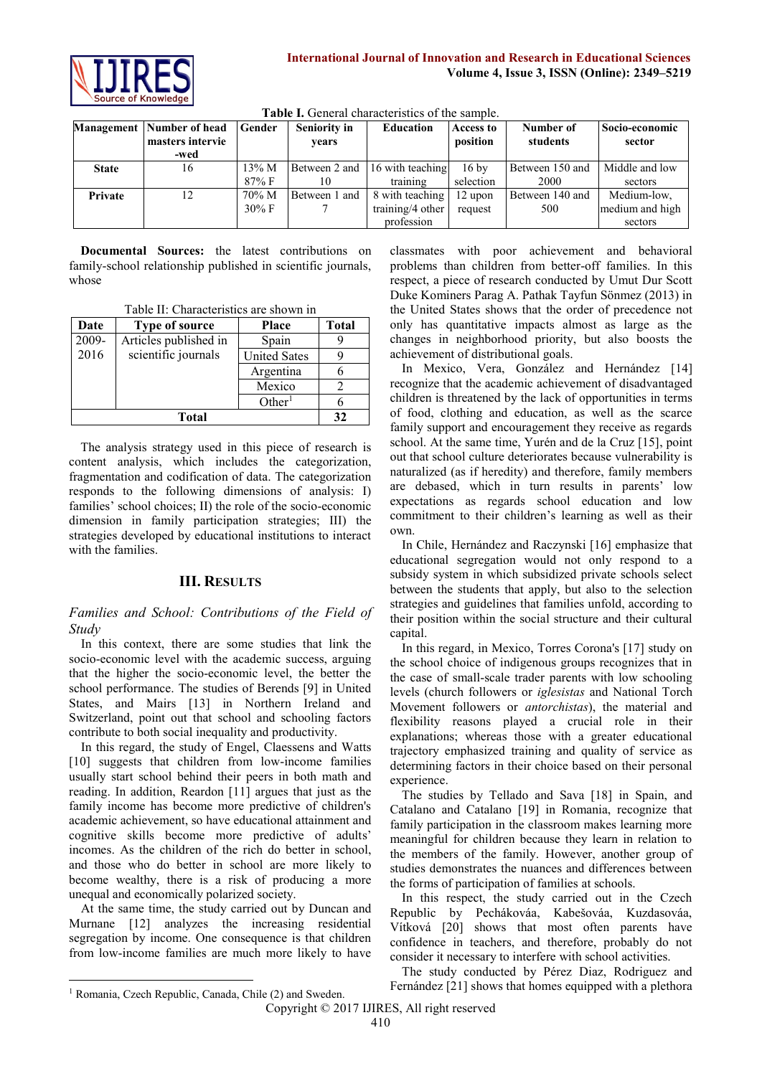

|              | <b>Management</b> Number of head | <b>Gender</b>    | <b>Seniority in</b> | <b>Education</b> | Access to       | Number of       | Socio-economic  |
|--------------|----------------------------------|------------------|---------------------|------------------|-----------------|-----------------|-----------------|
|              | masters intervie                 |                  | vears               |                  | position        | students        | sector          |
|              | -wed                             |                  |                     |                  |                 |                 |                 |
| <b>State</b> | 16                               | $13\% \text{ M}$ | Between 2 and       | 16 with teaching | $16 \text{ by}$ | Between 150 and | Middle and low  |
|              |                                  | $87\%$ F         |                     | training         | selection       | 2000            | sectors         |
| Private      | 12                               | 70% M            | Between 1 and       | 8 with teaching  | 12 upon         | Between 140 and | Medium-low.     |
|              |                                  | $30\% \text{ F}$ |                     | training/4 other | request         | 500             | medium and high |
|              |                                  |                  |                     | profession       |                 |                 | sectors         |

**Table I.** General characteristics of the sample.

**Documental Sources:** the latest contributions on family-school relationship published in scientific journals, whose

Table II: Characteristics are shown in

| Date  | Type of source        | <b>Place</b>        | Total |
|-------|-----------------------|---------------------|-------|
| 2009- | Articles published in | Spain               |       |
| 2016  | scientific journals   | <b>United Sates</b> |       |
|       |                       | Argentina           |       |
|       |                       | Mexico              |       |
|       |                       | Other <sup>1</sup>  |       |
|       | 32                    |                     |       |

The analysis strategy used in this piece of research is content analysis, which includes the categorization, fragmentation and codification of data. The categorization responds to the following dimensions of analysis: I) families' school choices; II) the role of the socio-economic dimension in family participation strategies; III) the strategies developed by educational institutions to interact with the families.

# **III. RESULTS**

*Families and School: Contributions of the Field of Study*

In this context, there are some studies that link the socio-economic level with the academic success, arguing that the higher the socio-economic level, the better the school performance. The studies of Berends [9] in United States, and Mairs [13] in Northern Ireland and Switzerland, point out that school and schooling factors contribute to both social inequality and productivity.

In this regard, the study of Engel, Claessens and Watts [10] suggests that children from low-income families usually start school behind their peers in both math and reading. In addition, Reardon [11] argues that just as the family income has become more predictive of children's academic achievement, so have educational attainment and cognitive skills become more predictive of adults' incomes. As the children of the rich do better in school, and those who do better in school are more likely to become wealthy, there is a risk of producing a more unequal and economically polarized society.

At the same time, the study carried out by Duncan and Murnane [12] analyzes the increasing residential segregation by income. One consequence is that children from low-income families are much more likely to have classmates with poor achievement and behavioral problems than children from better-off families. In this respect, a piece of research conducted by Umut Dur Scott Duke Kominers Parag A. Pathak Tayfun Sönmez (2013) in the United States shows that the order of precedence not only has quantitative impacts almost as large as the changes in neighborhood priority, but also boosts the achievement of distributional goals.

In Mexico, Vera, González and Hernández [14] recognize that the academic achievement of disadvantaged children is threatened by the lack of opportunities in terms of food, clothing and education, as well as the scarce family support and encouragement they receive as regards school. At the same time, Yurén and de la Cruz [15], point out that school culture deteriorates because vulnerability is naturalized (as if heredity) and therefore, family members are debased, which in turn results in parents' low expectations as regards school education and low commitment to their children's learning as well as their own.

In Chile, Hernández and Raczynski [16] emphasize that educational segregation would not only respond to a subsidy system in which subsidized private schools select between the students that apply, but also to the selection strategies and guidelines that families unfold, according to their position within the social structure and their cultural capital.

In this regard, in Mexico, Torres Corona's [17] study on the school choice of indigenous groups recognizes that in the case of small-scale trader parents with low schooling levels (church followers or *iglesistas* and National Torch Movement followers or *antorchistas*), the material and flexibility reasons played a crucial role in their explanations; whereas those with a greater educational trajectory emphasized training and quality of service as determining factors in their choice based on their personal experience.

The studies by Tellado and Sava [18] in Spain, and Catalano and Catalano [19] in Romania, recognize that family participation in the classroom makes learning more meaningful for children because they learn in relation to the members of the family. However, another group of studies demonstrates the nuances and differences between the forms of participation of families at schools.

In this respect, the study carried out in the Czech Republic by Pechákováa, Kabešováa, Kuzdasováa, Vítková [20] shows that most often parents have confidence in teachers, and therefore, probably do not consider it necessary to interfere with school activities.

The study conducted by Pérez Diaz, Rodriguez and

 $\overline{\phantom{a}}$ 

Fernández [21] shows that homes equipped with a plethora

<sup>&</sup>lt;sup>1</sup> Romania, Czech Republic, Canada, Chile (2) and Sweden.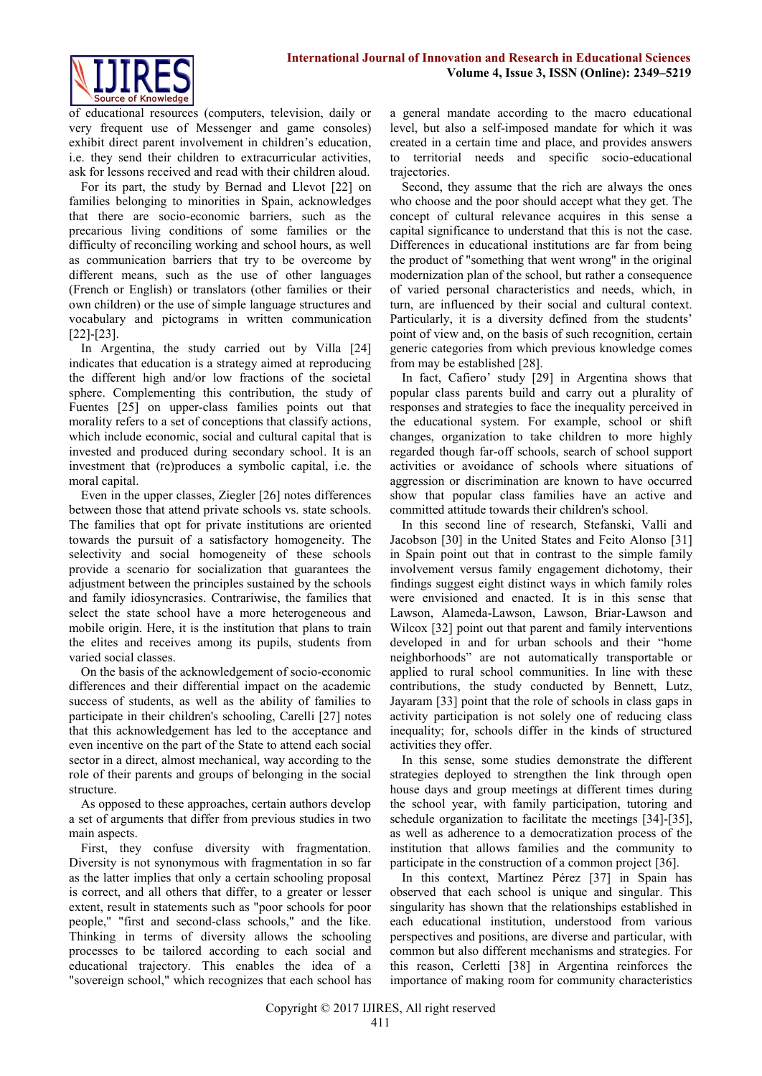

of educational resources (computers, television, daily or very frequent use of Messenger and game consoles) exhibit direct parent involvement in children's education, i.e. they send their children to extracurricular activities, ask for lessons received and read with their children aloud.

For its part, the study by Bernad and Llevot [22] on families belonging to minorities in Spain, acknowledges that there are socio-economic barriers, such as the precarious living conditions of some families or the difficulty of reconciling working and school hours, as well as communication barriers that try to be overcome by different means, such as the use of other languages (French or English) or translators (other families or their own children) or the use of simple language structures and vocabulary and pictograms in written communication [22]-[23].

In Argentina, the study carried out by Villa [24] indicates that education is a strategy aimed at reproducing the different high and/or low fractions of the societal sphere. Complementing this contribution, the study of Fuentes [25] on upper-class families points out that morality refers to a set of conceptions that classify actions, which include economic, social and cultural capital that is invested and produced during secondary school. It is an investment that (re)produces a symbolic capital, i.e. the moral capital.

Even in the upper classes, Ziegler [26] notes differences between those that attend private schools vs. state schools. The families that opt for private institutions are oriented towards the pursuit of a satisfactory homogeneity. The selectivity and social homogeneity of these schools provide a scenario for socialization that guarantees the adjustment between the principles sustained by the schools and family idiosyncrasies. Contrariwise, the families that select the state school have a more heterogeneous and mobile origin. Here, it is the institution that plans to train the elites and receives among its pupils, students from varied social classes.

On the basis of the acknowledgement of socio-economic differences and their differential impact on the academic success of students, as well as the ability of families to participate in their children's schooling, Carelli [27] notes that this acknowledgement has led to the acceptance and even incentive on the part of the State to attend each social sector in a direct, almost mechanical, way according to the role of their parents and groups of belonging in the social structure.

As opposed to these approaches, certain authors develop a set of arguments that differ from previous studies in two main aspects.

First, they confuse diversity with fragmentation. Diversity is not synonymous with fragmentation in so far as the latter implies that only a certain schooling proposal is correct, and all others that differ, to a greater or lesser extent, result in statements such as "poor schools for poor people," "first and second-class schools," and the like. Thinking in terms of diversity allows the schooling processes to be tailored according to each social and educational trajectory. This enables the idea of a "sovereign school," which recognizes that each school has

a general mandate according to the macro educational level, but also a self-imposed mandate for which it was created in a certain time and place, and provides answers to territorial needs and specific socio-educational trajectories.

Second, they assume that the rich are always the ones who choose and the poor should accept what they get. The concept of cultural relevance acquires in this sense a capital significance to understand that this is not the case. Differences in educational institutions are far from being the product of "something that went wrong" in the original modernization plan of the school, but rather a consequence of varied personal characteristics and needs, which, in turn, are influenced by their social and cultural context. Particularly, it is a diversity defined from the students' point of view and, on the basis of such recognition, certain generic categories from which previous knowledge comes from may be established [28].

In fact, Cafiero' study [29] in Argentina shows that popular class parents build and carry out a plurality of responses and strategies to face the inequality perceived in the educational system. For example, school or shift changes, organization to take children to more highly regarded though far-off schools, search of school support activities or avoidance of schools where situations of aggression or discrimination are known to have occurred show that popular class families have an active and committed attitude towards their children's school.

In this second line of research, Stefanski, Valli and Jacobson [30] in the United States and Feito Alonso [31] in Spain point out that in contrast to the simple family involvement versus family engagement dichotomy, their findings suggest eight distinct ways in which family roles were envisioned and enacted. It is in this sense that Lawson, Alameda-Lawson, Lawson, Briar-Lawson and Wilcox [32] point out that parent and family interventions developed in and for urban schools and their "home neighborhoods" are not automatically transportable or applied to rural school communities. In line with these contributions, the study conducted by Bennett, Lutz, Jayaram [33] point that the role of schools in class gaps in activity participation is not solely one of reducing class inequality; for, schools differ in the kinds of structured activities they offer.

In this sense, some studies demonstrate the different strategies deployed to strengthen the link through open house days and group meetings at different times during the school year, with family participation, tutoring and schedule organization to facilitate the meetings [34]-[35], as well as adherence to a democratization process of the institution that allows families and the community to participate in the construction of a common project [36].

In this context, Martínez Pérez [37] in Spain has observed that each school is unique and singular. This singularity has shown that the relationships established in each educational institution, understood from various perspectives and positions, are diverse and particular, with common but also different mechanisms and strategies. For this reason, Cerletti [38] in Argentina reinforces the importance of making room for community characteristics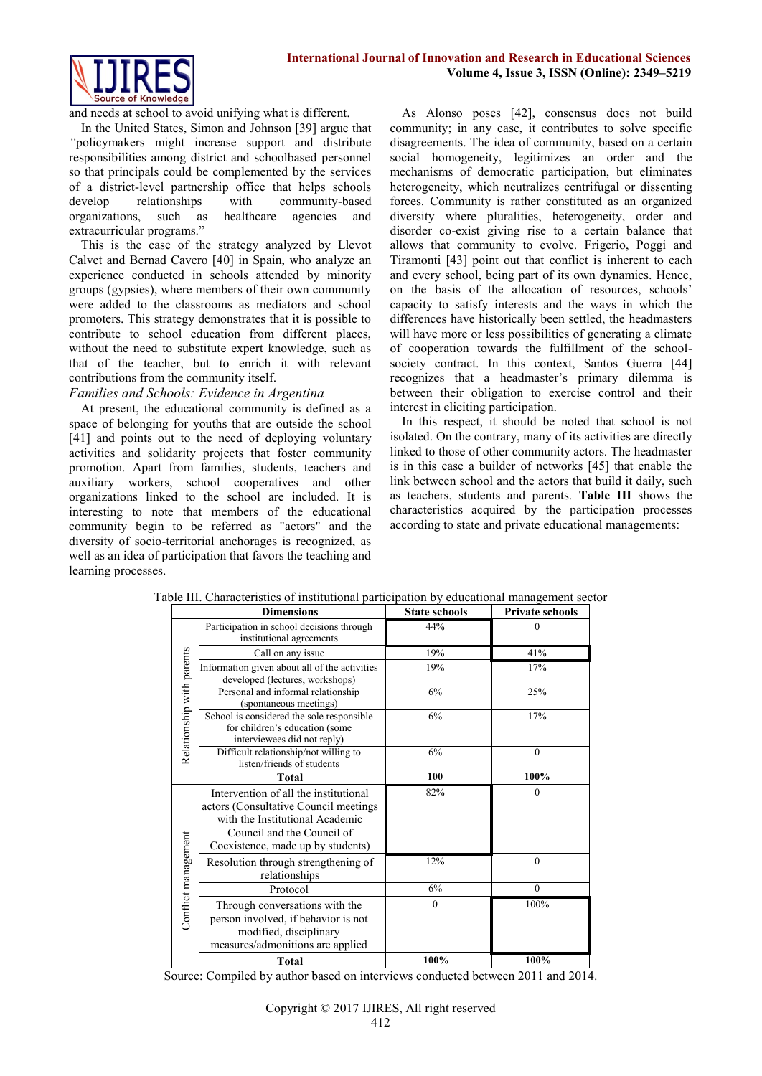

and needs at school to avoid unifying what is different.

In the United States, Simon and Johnson [39] argue that *"*policymakers might increase support and distribute responsibilities among district and schoolbased personnel so that principals could be complemented by the services of a district-level partnership office that helps schools develop relationships with community-based<br>organizations, such as healthcare agencies and organizations, such as extracurricular programs."

This is the case of the strategy analyzed by Llevot Calvet and Bernad Cavero [40] in Spain, who analyze an experience conducted in schools attended by minority groups (gypsies), where members of their own community were added to the classrooms as mediators and school promoters. This strategy demonstrates that it is possible to contribute to school education from different places, without the need to substitute expert knowledge, such as that of the teacher, but to enrich it with relevant contributions from the community itself.

## *Families and Schools: Evidence in Argentina*

At present, the educational community is defined as a space of belonging for youths that are outside the school [41] and points out to the need of deploying voluntary activities and solidarity projects that foster community promotion. Apart from families, students, teachers and auxiliary workers, school cooperatives and other organizations linked to the school are included. It is interesting to note that members of the educational community begin to be referred as "actors" and the diversity of socio-territorial anchorages is recognized, as well as an idea of participation that favors the teaching and learning processes.

As Alonso poses [42], consensus does not build community; in any case, it contributes to solve specific disagreements. The idea of community, based on a certain social homogeneity, legitimizes an order and the mechanisms of democratic participation, but eliminates heterogeneity, which neutralizes centrifugal or dissenting forces. Community is rather constituted as an organized diversity where pluralities, heterogeneity, order and disorder co-exist giving rise to a certain balance that allows that community to evolve. Frigerio, Poggi and Tiramonti [43] point out that conflict is inherent to each and every school, being part of its own dynamics. Hence, on the basis of the allocation of resources, schools' capacity to satisfy interests and the ways in which the differences have historically been settled, the headmasters will have more or less possibilities of generating a climate of cooperation towards the fulfillment of the schoolsociety contract. In this context, Santos Guerra [44] recognizes that a headmaster's primary dilemma is between their obligation to exercise control and their interest in eliciting participation.

In this respect, it should be noted that school is not isolated. On the contrary, many of its activities are directly linked to those of other community actors. The headmaster is in this case a builder of networks [45] that enable the link between school and the actors that build it daily, such as teachers, students and parents. **Table III** shows the characteristics acquired by the participation processes according to state and private educational managements:

|                           | <b>Dimensions</b>                                                                                                                                                                    | <b>State schools</b> | <b>Private schools</b> |
|---------------------------|--------------------------------------------------------------------------------------------------------------------------------------------------------------------------------------|----------------------|------------------------|
|                           | Participation in school decisions through<br>institutional agreements                                                                                                                | 44%                  | $\Omega$               |
|                           | Call on any issue                                                                                                                                                                    | 19%                  | 41%                    |
| Relationship with parents | Information given about all of the activities<br>developed (lectures, workshops)                                                                                                     | 19%                  | 17%                    |
|                           | Personal and informal relationship<br>(spontaneous meetings)                                                                                                                         | 6%                   | 25%                    |
|                           | School is considered the sole responsible<br>for children's education (some<br>interviewees did not reply)                                                                           | 6%                   | 17%                    |
|                           | Difficult relationship/not willing to<br>listen/friends of students                                                                                                                  | 6%                   | $\theta$               |
|                           | <b>Total</b>                                                                                                                                                                         | 100                  | 100%                   |
|                           | Intervention of all the institutional<br>actors (Consultative Council meetings<br>with the Institutional Academic<br>Council and the Council of<br>Coexistence, made up by students) | 82%                  | $\theta$               |
| Conflict management       | Resolution through strengthening of<br>relationships                                                                                                                                 | 12%                  | $\theta$               |
|                           | Protocol                                                                                                                                                                             | 6%                   | $\theta$               |
|                           | Through conversations with the<br>person involved, if behavior is not<br>modified, disciplinary<br>measures/admonitions are applied                                                  | $\mathbf{0}$         | 100%                   |
|                           | <b>Total</b>                                                                                                                                                                         | 100%                 | 100%                   |

Table III. Characteristics of institutional participation by educational management sector

Source: Compiled by author based on interviews conducted between 2011 and 2014.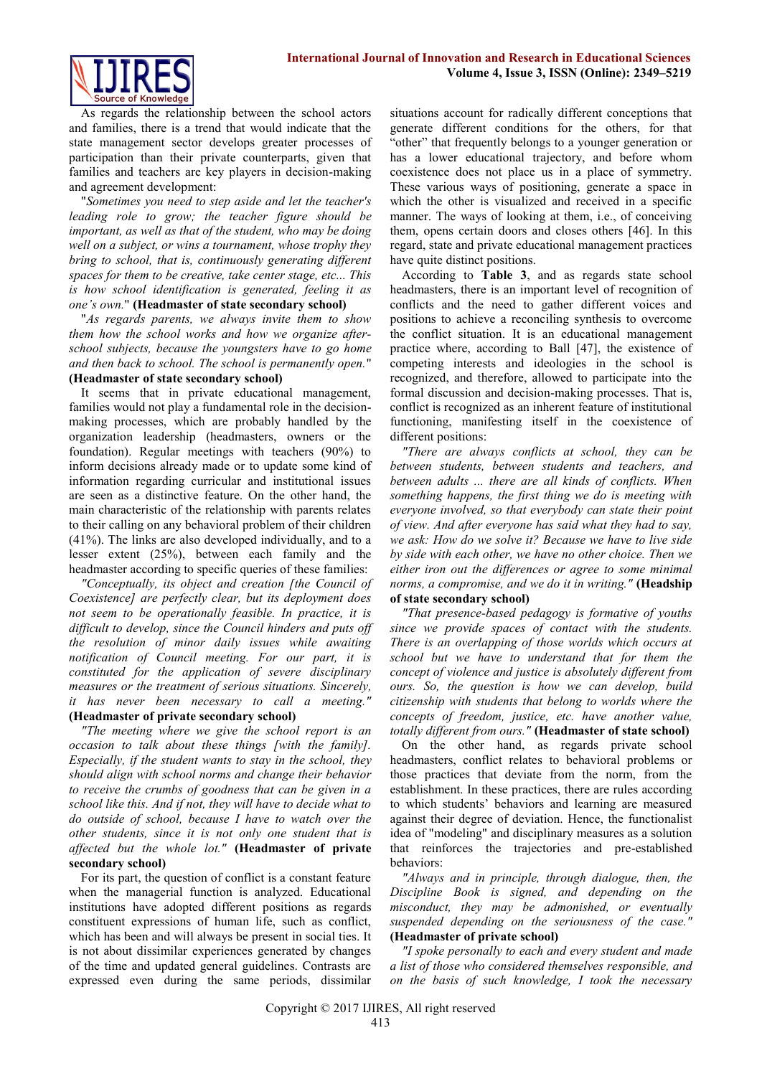

As regards the relationship between the school actors and families, there is a trend that would indicate that the state management sector develops greater processes of participation than their private counterparts, given that families and teachers are key players in decision-making and agreement development:

"*Sometimes you need to step aside and let the teacher's leading role to grow; the teacher figure should be important, as well as that of the student, who may be doing well on a subject, or wins a tournament, whose trophy they bring to school, that is, continuously generating different spaces for them to be creative, take center stage, etc... This is how school identification is generated, feeling it as one's own.*" **(Headmaster of state secondary school)**

"*As regards parents, we always invite them to show them how the school works and how we organize afterschool subjects, because the youngsters have to go home and then back to school. The school is permanently open.*"

# **(Headmaster of state secondary school)**

It seems that in private educational management, families would not play a fundamental role in the decisionmaking processes, which are probably handled by the organization leadership (headmasters, owners or the foundation). Regular meetings with teachers (90%) to inform decisions already made or to update some kind of information regarding curricular and institutional issues are seen as a distinctive feature. On the other hand, the main characteristic of the relationship with parents relates to their calling on any behavioral problem of their children (41%). The links are also developed individually, and to a lesser extent (25%), between each family and the headmaster according to specific queries of these families:

*"Conceptually, its object and creation [the Council of Coexistence] are perfectly clear, but its deployment does not seem to be operationally feasible. In practice, it is difficult to develop, since the Council hinders and puts off the resolution of minor daily issues while awaiting notification of Council meeting. For our part, it is constituted for the application of severe disciplinary measures or the treatment of serious situations. Sincerely, it has never been necessary to call a meeting."* **(Headmaster of private secondary school)**

*"The meeting where we give the school report is an occasion to talk about these things [with the family]. Especially, if the student wants to stay in the school, they should align with school norms and change their behavior to receive the crumbs of goodness that can be given in a school like this. And if not, they will have to decide what to do outside of school, because I have to watch over the other students, since it is not only one student that is affected but the whole lot."* **(Headmaster of private secondary school)**

For its part, the question of conflict is a constant feature when the managerial function is analyzed. Educational institutions have adopted different positions as regards constituent expressions of human life, such as conflict, which has been and will always be present in social ties. It is not about dissimilar experiences generated by changes of the time and updated general guidelines. Contrasts are expressed even during the same periods, dissimilar

situations account for radically different conceptions that generate different conditions for the others, for that "other" that frequently belongs to a younger generation or has a lower educational trajectory, and before whom coexistence does not place us in a place of symmetry. These various ways of positioning, generate a space in which the other is visualized and received in a specific manner. The ways of looking at them, i.e., of conceiving them, opens certain doors and closes others [46]. In this regard, state and private educational management practices have quite distinct positions.

According to **Table 3**, and as regards state school headmasters, there is an important level of recognition of conflicts and the need to gather different voices and positions to achieve a reconciling synthesis to overcome the conflict situation. It is an educational management practice where, according to Ball [47], the existence of competing interests and ideologies in the school is recognized, and therefore, allowed to participate into the formal discussion and decision-making processes. That is, conflict is recognized as an inherent feature of institutional functioning, manifesting itself in the coexistence of different positions:

*"There are always conflicts at school, they can be between students, between students and teachers, and between adults ... there are all kinds of conflicts. When something happens, the first thing we do is meeting with everyone involved, so that everybody can state their point of view. And after everyone has said what they had to say, we ask: How do we solve it? Because we have to live side by side with each other, we have no other choice. Then we either iron out the differences or agree to some minimal norms, a compromise, and we do it in writing."* **(Headship of state secondary school)**

# *"That presence-based pedagogy is formative of youths*

*since we provide spaces of contact with the students. There is an overlapping of those worlds which occurs at school but we have to understand that for them the concept of violence and justice is absolutely different from ours. So, the question is how we can develop, build citizenship with students that belong to worlds where the concepts of freedom, justice, etc. have another value, totally different from ours."* **(Headmaster of state school)**

On the other hand, as regards private school headmasters, conflict relates to behavioral problems or those practices that deviate from the norm, from the establishment. In these practices, there are rules according to which students' behaviors and learning are measured against their degree of deviation. Hence, the functionalist idea of "modeling" and disciplinary measures as a solution that reinforces the trajectories and pre-established behaviors:

*"Always and in principle, through dialogue, then, the Discipline Book is signed, and depending on the misconduct, they may be admonished, or eventually suspended depending on the seriousness of the case."*  **(Headmaster of private school)**

*"I spoke personally to each and every student and made a list of those who considered themselves responsible, and on the basis of such knowledge, I took the necessary*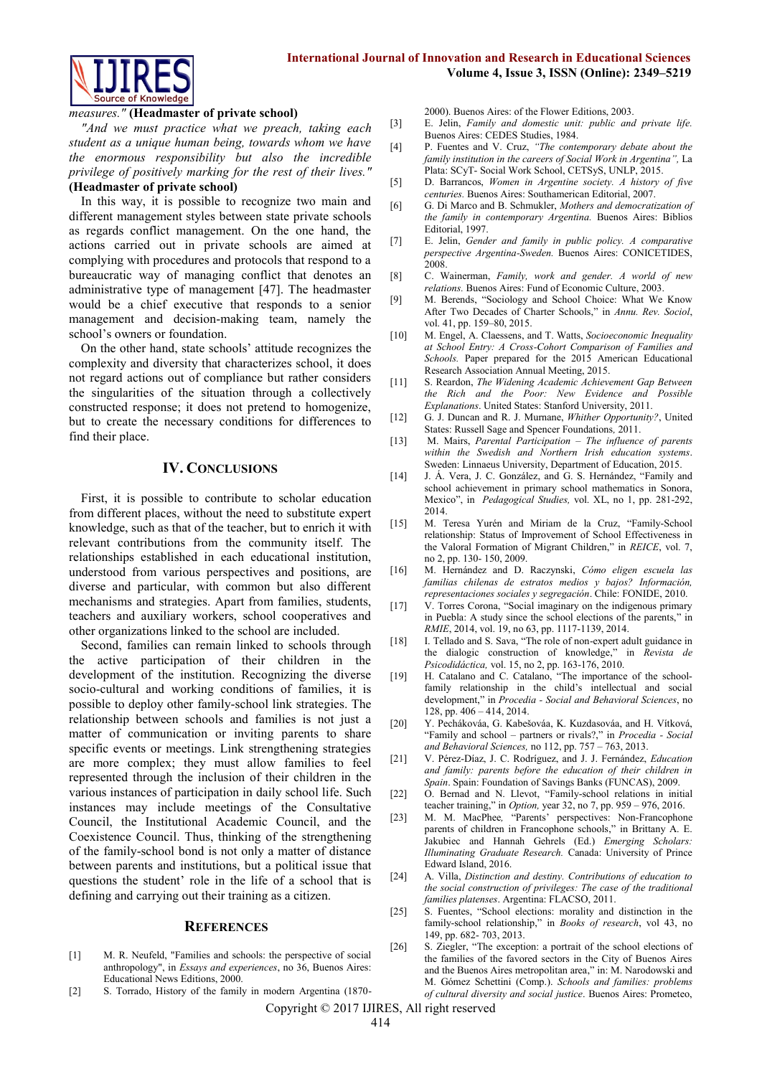

#### *measures."* **(Headmaster of private school)**

*"And we must practice what we preach, taking each student as a unique human being, towards whom we have the enormous responsibility but also the incredible privilege of positively marking for the rest of their lives."*

# **(Headmaster of private school)**

In this way, it is possible to recognize two main and different management styles between state private schools as regards conflict management. On the one hand, the actions carried out in private schools are aimed at complying with procedures and protocols that respond to a bureaucratic way of managing conflict that denotes an administrative type of management [47]. The headmaster would be a chief executive that responds to a senior management and decision-making team, namely the school's owners or foundation.

On the other hand, state schools' attitude recognizes the complexity and diversity that characterizes school, it does not regard actions out of compliance but rather considers the singularities of the situation through a collectively constructed response; it does not pretend to homogenize, but to create the necessary conditions for differences to find their place.

## **IV. CONCLUSIONS**

First, it is possible to contribute to scholar education from different places, without the need to substitute expert knowledge, such as that of the teacher, but to enrich it with relevant contributions from the community itself. The relationships established in each educational institution, understood from various perspectives and positions, are diverse and particular, with common but also different mechanisms and strategies. Apart from families, students, teachers and auxiliary workers, school cooperatives and other organizations linked to the school are included.

Second, families can remain linked to schools through the active participation of their children in the development of the institution. Recognizing the diverse socio-cultural and working conditions of families, it is possible to deploy other family-school link strategies. The relationship between schools and families is not just a matter of communication or inviting parents to share specific events or meetings. Link strengthening strategies are more complex; they must allow families to feel represented through the inclusion of their children in the various instances of participation in daily school life. Such instances may include meetings of the Consultative Council, the Institutional Academic Council, and the Coexistence Council. Thus, thinking of the strengthening of the family-school bond is not only a matter of distance between parents and institutions, but a political issue that questions the student' role in the life of a school that is defining and carrying out their training as a citizen.

#### **REFERENCES**

- [1] M. R. Neufeld, "Families and schools: the perspective of social anthropology", in *Essays and experiences*, no 36, Buenos Aires: Educational News Editions, 2000.
- [2] S. Torrado, History of the family in modern Argentina (1870-

2000). Buenos Aires: of the Flower Editions, 2003.

- [3] E. Jelin, *Family and domestic unit: public and private life.*  Buenos Aires: CEDES Studies, 1984.
- [4] P. Fuentes and V. Cruz, *"The contemporary debate about the family institution in the careers of Social Work in Argentina",* La Plata: SCyT- Social Work School, CETSyS, UNLP, 2015.
- [5] D. Barrancos, *Women in Argentine society. A history of five centuries.* Buenos Aires: Southamerican Editorial, 2007.
- [6] G. Di Marco and B. Schmukler, *Mothers and democratization of the family in contemporary Argentina.* Buenos Aires: Biblios Editorial, 1997.
- [7] E. Jelin, *Gender and family in public policy. A comparative perspective Argentina-Sweden.* Buenos Aires: CONICETIDES, 2008.
- [8] C. Wainerman, *Family, work and gender. A world of new relations.* Buenos Aires: Fund of Economic Culture, 2003.
- [9] M. Berends, "Sociology and School Choice: What We Know After Two Decades of Charter Schools," in *Annu. Rev. Sociol*, vol. 41, pp. 159–80, 2015.
- [10] M. Engel, A. Claessens, and T. Watts, *Socioeconomic Inequality at School Entry: A Cross-Cohort Comparison of Families and Schools.* Paper prepared for the 2015 American Educational Research Association Annual Meeting, 2015.
- [11] S. Reardon, *The Widening Academic Achievement Gap Between the Rich and the Poor: New Evidence and Possible Explanations*. United States: Stanford University, 2011.
- [12] G. J. Duncan and R. J. Murnane, *Whither Opportunity?*, United States: Russell Sage and Spencer Foundations*,* 2011.
- [13] M. Mairs, *Parental Participation – The influence of parents within the Swedish and Northern Irish education systems*. Sweden: Linnaeus University, Department of Education, 2015.
- [14] J. Á. Vera, J. C. González, and G. S. Hernández, "Family and school achievement in primary school mathematics in Sonora, Mexico", in *Pedagogical Studies,* vol. XL, no 1, pp. 281-292, 2014.
- [15] M. Teresa Yurén and Miriam de la Cruz, "Family-School relationship: Status of Improvement of School Effectiveness in the Valoral Formation of Migrant Children," in *REICE*, vol. 7, no 2, pp. 130- 150, 2009.
- [16] M. Hernández and D. Raczynski, *Cómo eligen escuela las familias chilenas de estratos medios y bajos? Información, representaciones sociales y segregación*. Chile: FONIDE, 2010.
- [17] V. Torres Corona, "Social imaginary on the indigenous primary in Puebla: A study since the school elections of the parents," in *RMIE*, 2014, vol. 19, no 63, pp. 1117-1139, 2014.
- [18] I. Tellado and S. Sava, "The role of non-expert adult guidance in the dialogic construction of knowledge," in *Revista de Psicodidáctica,* vol. 15, no 2, pp. 163-176, 2010.
- [19] H. Catalano and C. Catalano, "The importance of the schoolfamily relationship in the child's intellectual and social development," in *Procedia - Social and Behavioral Sciences*, no 128, pp. 406 – 414, 2014.
- [20] Y. Pechákováa, G. Kabešováa, K. Kuzdasováa, and H. Vítková, "Family and school – partners or rivals?," in *Procedia - Social and Behavioral Sciences,* no 112, pp. 757 – 763, 2013.
- [21] V. Pérez-Díaz, J. C. Rodríguez, and J. J. Fernández, *Education and family: parents before the education of their children in Spain*. Spain: Foundation of Savings Banks (FUNCAS), 2009.
- [22] O. Bernad and N. Llevot, "Family-school relations in initial teacher training," in *Option,* year 32, no 7, pp. 959 – 976, 2016.
- [23] M. M. MacPhee*,* "Parents' perspectives: Non-Francophone parents of children in Francophone schools," in Brittany A. E. Jakubiec and Hannah Gehrels (Ed.) *Emerging Scholars: Illuminating Graduate Research.* Canada: University of Prince Edward Island, 2016.
- [24] A. Villa, *Distinction and destiny. Contributions of education to the social construction of privileges: The case of the traditional families platenses*. Argentina: FLACSO, 2011.
- [25] S. Fuentes, "School elections: morality and distinction in the family-school relationship," in *Books of research*, vol 43, no 149, pp. 682- 703, 2013.
- [26] S. Ziegler, "The exception: a portrait of the school elections of the families of the favored sectors in the City of Buenos Aires and the Buenos Aires metropolitan area," in: M. Narodowski and M. Gómez Schettini (Comp.). *Schools and families: problems of cultural diversity and social justice*. Buenos Aires: Prometeo,

Copyright © 2017 IJIRES, All right reserved